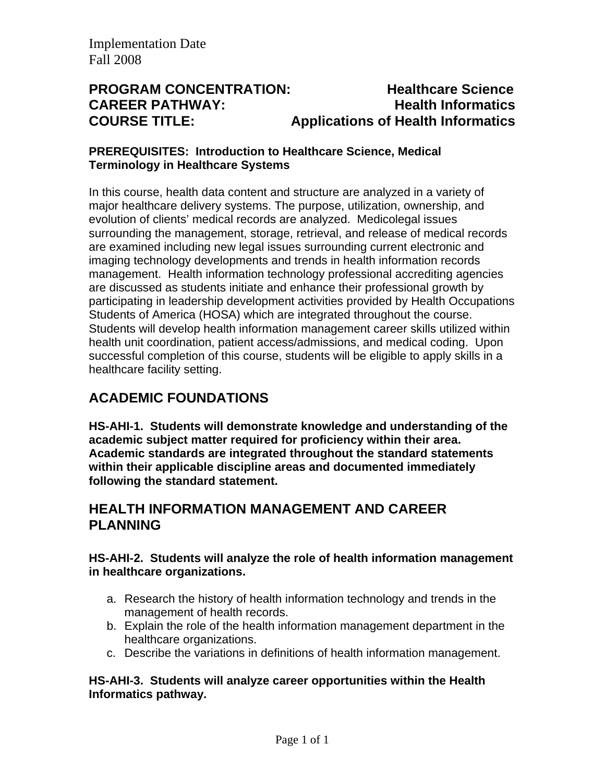# **PROGRAM CONCENTRATION: Healthcare Science CAREER PATHWAY: Health Informatics COURSE TITLE: Applications of Health Informatics**

#### **PREREQUISITES: Introduction to Healthcare Science, Medical Terminology in Healthcare Systems**

In this course, health data content and structure are analyzed in a variety of major healthcare delivery systems. The purpose, utilization, ownership, and evolution of clients' medical records are analyzed. Medicolegal issues surrounding the management, storage, retrieval, and release of medical records are examined including new legal issues surrounding current electronic and imaging technology developments and trends in health information records management. Health information technology professional accrediting agencies are discussed as students initiate and enhance their professional growth by participating in leadership development activities provided by Health Occupations Students of America (HOSA) which are integrated throughout the course. Students will develop health information management career skills utilized within health unit coordination, patient access/admissions, and medical coding. Upon successful completion of this course, students will be eligible to apply skills in a healthcare facility setting.

# **ACADEMIC FOUNDATIONS**

**HS-AHI-1. Students will demonstrate knowledge and understanding of the academic subject matter required for proficiency within their area. Academic standards are integrated throughout the standard statements within their applicable discipline areas and documented immediately following the standard statement.** 

## **HEALTH INFORMATION MANAGEMENT AND CAREER PLANNING**

### **HS-AHI-2. Students will analyze the role of health information management in healthcare organizations.**

- a. Research the history of health information technology and trends in the management of health records.
- b. Explain the role of the health information management department in the healthcare organizations.
- c. Describe the variations in definitions of health information management.

#### **HS-AHI-3. Students will analyze career opportunities within the Health Informatics pathway.**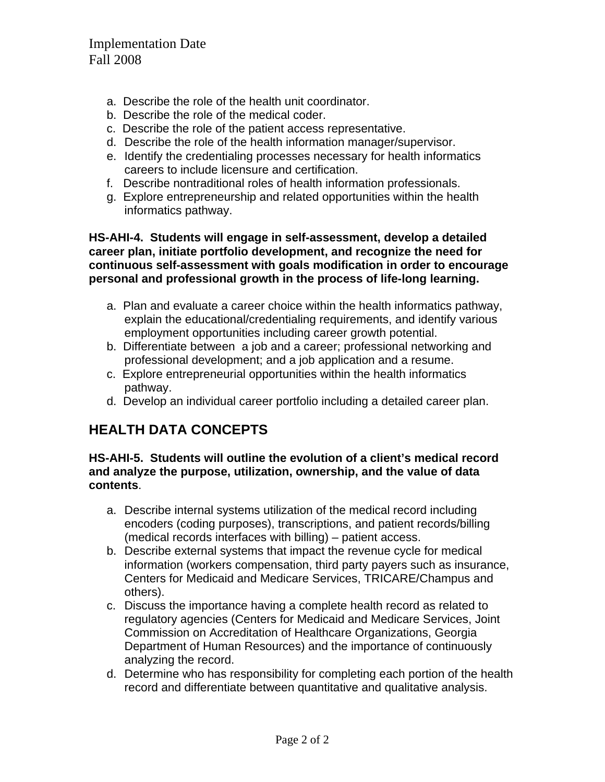- a. Describe the role of the health unit coordinator.
- b. Describe the role of the medical coder.
- c. Describe the role of the patient access representative.
- d. Describe the role of the health information manager/supervisor.
- e. Identify the credentialing processes necessary for health informatics careers to include licensure and certification.
- f. Describe nontraditional roles of health information professionals.
- g. Explore entrepreneurship and related opportunities within the health informatics pathway.

**HS-AHI-4. Students will engage in self-assessment, develop a detailed career plan, initiate portfolio development, and recognize the need for continuous self-assessment with goals modification in order to encourage personal and professional growth in the process of life-long learning.** 

- a. Plan and evaluate a career choice within the health informatics pathway, explain the educational/credentialing requirements, and identify various employment opportunities including career growth potential.
- b. Differentiate between a job and a career; professional networking and professional development; and a job application and a resume.
- c. Explore entrepreneurial opportunities within the health informatics pathway.
- d. Develop an individual career portfolio including a detailed career plan.

## **HEALTH DATA CONCEPTS**

**HS-AHI-5. Students will outline the evolution of a client's medical record and analyze the purpose, utilization, ownership, and the value of data contents**.

- a. Describe internal systems utilization of the medical record including encoders (coding purposes), transcriptions, and patient records/billing (medical records interfaces with billing) – patient access.
- b. Describe external systems that impact the revenue cycle for medical information (workers compensation, third party payers such as insurance, Centers for Medicaid and Medicare Services, TRICARE/Champus and others).
- c. Discuss the importance having a complete health record as related to regulatory agencies (Centers for Medicaid and Medicare Services, Joint Commission on Accreditation of Healthcare Organizations, Georgia Department of Human Resources) and the importance of continuously analyzing the record.
- d. Determine who has responsibility for completing each portion of the health record and differentiate between quantitative and qualitative analysis.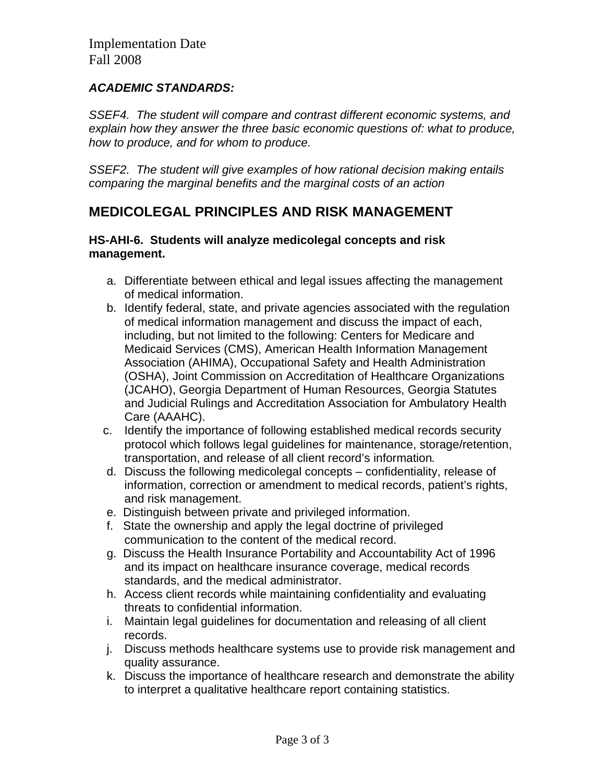### *ACADEMIC STANDARDS:*

*SSEF4. The student will compare and contrast different economic systems, and explain how they answer the three basic economic questions of: what to produce, how to produce, and for whom to produce.*

*SSEF2. The student will give examples of how rational decision making entails comparing the marginal benefits and the marginal costs of an action* 

## **MEDICOLEGAL PRINCIPLES AND RISK MANAGEMENT**

#### **HS-AHI-6. Students will analyze medicolegal concepts and risk management.**

- a. Differentiate between ethical and legal issues affecting the management of medical information.
- b. Identify federal, state, and private agencies associated with the regulation of medical information management and discuss the impact of each, including, but not limited to the following: Centers for Medicare and Medicaid Services (CMS), American Health Information Management Association (AHIMA), Occupational Safety and Health Administration (OSHA), Joint Commission on Accreditation of Healthcare Organizations (JCAHO), Georgia Department of Human Resources, Georgia Statutes and Judicial Rulings and Accreditation Association for Ambulatory Health Care (AAAHC).
- c. Identify the importance of following established medical records security protocol which follows legal guidelines for maintenance, storage/retention, transportation, and release of all client record's information*.*
- d. Discuss the following medicolegal concepts confidentiality, release of information, correction or amendment to medical records, patient's rights, and risk management.
- e. Distinguish between private and privileged information.
- f. State the ownership and apply the legal doctrine of privileged communication to the content of the medical record.
- g. Discuss the Health Insurance Portability and Accountability Act of 1996 and its impact on healthcare insurance coverage, medical records standards, and the medical administrator.
- h. Access client records while maintaining confidentiality and evaluating threats to confidential information.
- i. Maintain legal guidelines for documentation and releasing of all client records.
- j. Discuss methods healthcare systems use to provide risk management and quality assurance.
- k. Discuss the importance of healthcare research and demonstrate the ability to interpret a qualitative healthcare report containing statistics.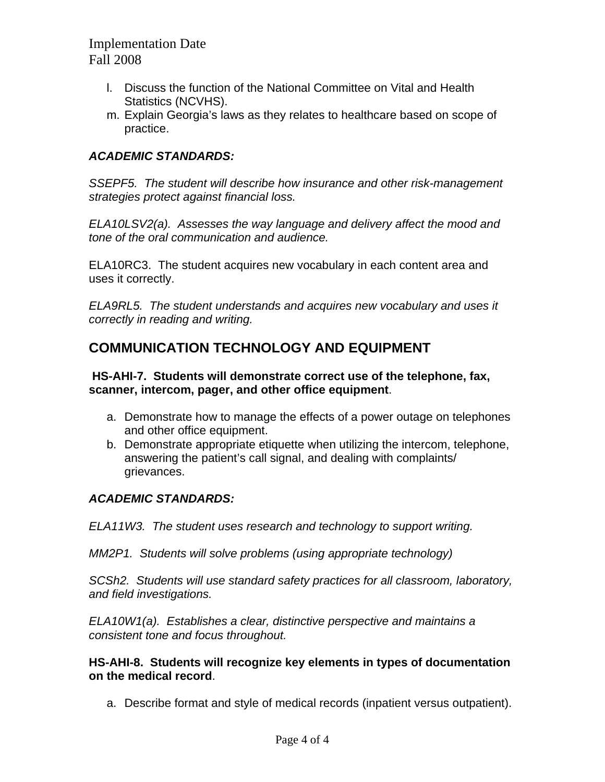- l. Discuss the function of the National Committee on Vital and Health Statistics (NCVHS).
- m. Explain Georgia's laws as they relates to healthcare based on scope of practice.

### *ACADEMIC STANDARDS:*

*SSEPF5. The student will describe how insurance and other risk-management strategies protect against financial loss.*

*ELA10LSV2(a). Assesses the way language and delivery affect the mood and tone of the oral communication and audience.*

ELA10RC3. The student acquires new vocabulary in each content area and uses it correctly.

*ELA9RL5. The student understands and acquires new vocabulary and uses it correctly in reading and writing.* 

## **COMMUNICATION TECHNOLOGY AND EQUIPMENT**

#### **HS-AHI-7. Students will demonstrate correct use of the telephone, fax, scanner, intercom, pager, and other office equipment**.

- a. Demonstrate how to manage the effects of a power outage on telephones and other office equipment.
- b. Demonstrate appropriate etiquette when utilizing the intercom, telephone, answering the patient's call signal, and dealing with complaints/ grievances.

## *ACADEMIC STANDARDS:*

*ELA11W3. The student uses research and technology to support writing.* 

*MM2P1. Students will solve problems (using appropriate technology)* 

*SCSh2. Students will use standard safety practices for all classroom, laboratory, and field investigations.*

*ELA10W1(a). Establishes a clear, distinctive perspective and maintains a consistent tone and focus throughout.* 

#### **HS-AHI-8. Students will recognize key elements in types of documentation on the medical record**.

a. Describe format and style of medical records (inpatient versus outpatient).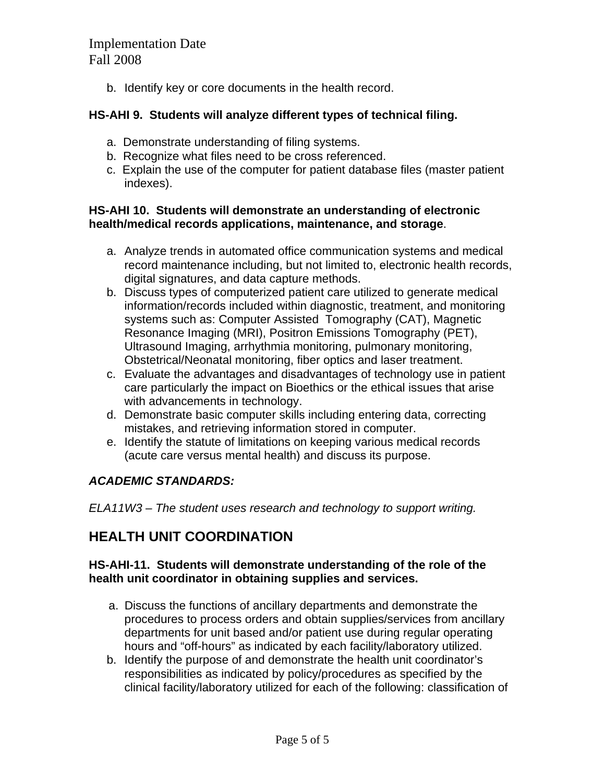b. Identify key or core documents in the health record.

#### **HS-AHI 9. Students will analyze different types of technical filing.**

- a. Demonstrate understanding of filing systems.
- b. Recognize what files need to be cross referenced.
- c. Explain the use of the computer for patient database files (master patient indexes).

#### **HS-AHI 10. Students will demonstrate an understanding of electronic health/medical records applications, maintenance, and storage**.

- a. Analyze trends in automated office communication systems and medical record maintenance including, but not limited to, electronic health records, digital signatures, and data capture methods.
- b. Discuss types of computerized patient care utilized to generate medical information/records included within diagnostic, treatment, and monitoring systems such as: Computer Assisted Tomography (CAT), Magnetic Resonance Imaging (MRI), Positron Emissions Tomography (PET), Ultrasound Imaging, arrhythmia monitoring, pulmonary monitoring, Obstetrical/Neonatal monitoring, fiber optics and laser treatment.
- c. Evaluate the advantages and disadvantages of technology use in patient care particularly the impact on Bioethics or the ethical issues that arise with advancements in technology.
- d. Demonstrate basic computer skills including entering data, correcting mistakes, and retrieving information stored in computer.
- e. Identify the statute of limitations on keeping various medical records (acute care versus mental health) and discuss its purpose.

## *ACADEMIC STANDARDS:*

*ELA11W3 – The student uses research and technology to support writing.* 

## **HEALTH UNIT COORDINATION**

#### **HS-AHI-11. Students will demonstrate understanding of the role of the health unit coordinator in obtaining supplies and services.**

- a. Discuss the functions of ancillary departments and demonstrate the procedures to process orders and obtain supplies/services from ancillary departments for unit based and/or patient use during regular operating hours and "off-hours" as indicated by each facility/laboratory utilized.
- b. Identify the purpose of and demonstrate the health unit coordinator's responsibilities as indicated by policy/procedures as specified by the clinical facility/laboratory utilized for each of the following: classification of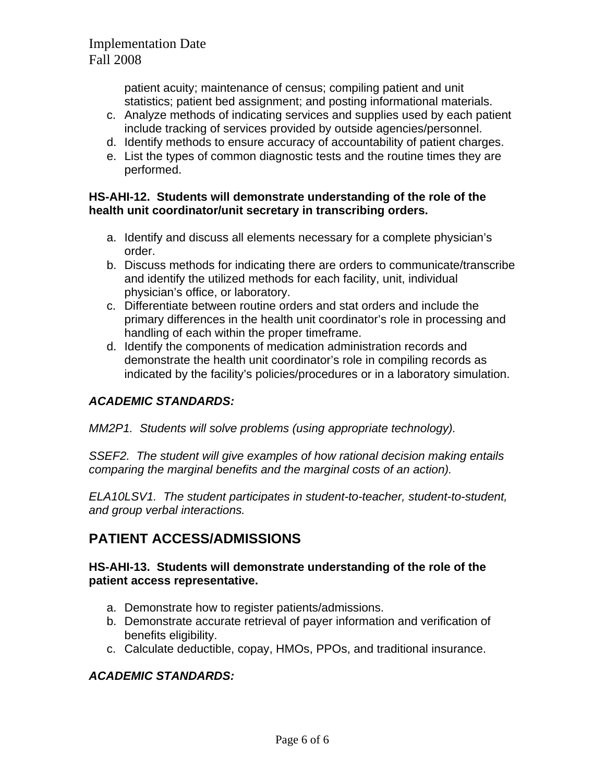patient acuity; maintenance of census; compiling patient and unit statistics; patient bed assignment; and posting informational materials.

- c. Analyze methods of indicating services and supplies used by each patient include tracking of services provided by outside agencies/personnel.
- d. Identify methods to ensure accuracy of accountability of patient charges.
- e. List the types of common diagnostic tests and the routine times they are performed.

### **HS-AHI-12. Students will demonstrate understanding of the role of the health unit coordinator/unit secretary in transcribing orders.**

- a. Identify and discuss all elements necessary for a complete physician's order.
- b. Discuss methods for indicating there are orders to communicate/transcribe and identify the utilized methods for each facility, unit, individual physician's office, or laboratory.
- c. Differentiate between routine orders and stat orders and include the primary differences in the health unit coordinator's role in processing and handling of each within the proper timeframe.
- d. Identify the components of medication administration records and demonstrate the health unit coordinator's role in compiling records as indicated by the facility's policies/procedures or in a laboratory simulation.

## *ACADEMIC STANDARDS:*

*MM2P1. Students will solve problems (using appropriate technology).* 

*SSEF2. The student will give examples of how rational decision making entails comparing the marginal benefits and the marginal costs of an action).*

*ELA10LSV1. The student participates in student-to-teacher, student-to-student, and group verbal interactions.* 

# **PATIENT ACCESS/ADMISSIONS**

### **HS-AHI-13. Students will demonstrate understanding of the role of the patient access representative.**

- a. Demonstrate how to register patients/admissions.
- b. Demonstrate accurate retrieval of payer information and verification of benefits eligibility.
- c. Calculate deductible, copay, HMOs, PPOs, and traditional insurance.

## *ACADEMIC STANDARDS:*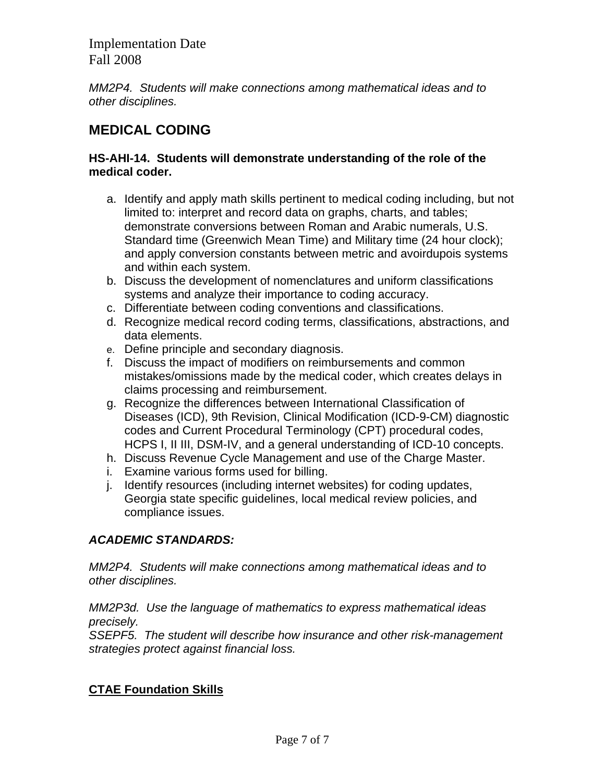*MM2P4. Students will make connections among mathematical ideas and to other disciplines.* 

# **MEDICAL CODING**

### **HS-AHI-14. Students will demonstrate understanding of the role of the medical coder.**

- a. Identify and apply math skills pertinent to medical coding including, but not limited to: interpret and record data on graphs, charts, and tables; demonstrate conversions between Roman and Arabic numerals, U.S. Standard time (Greenwich Mean Time) and Military time (24 hour clock); and apply conversion constants between metric and avoirdupois systems and within each system.
- b. Discuss the development of nomenclatures and uniform classifications systems and analyze their importance to coding accuracy.
- c. Differentiate between coding conventions and classifications.
- d. Recognize medical record coding terms, classifications, abstractions, and data elements.
- e. Define principle and secondary diagnosis.
- f. Discuss the impact of modifiers on reimbursements and common mistakes/omissions made by the medical coder, which creates delays in claims processing and reimbursement.
- g. Recognize the differences between International Classification of Diseases (ICD), 9th Revision, Clinical Modification (ICD-9-CM) diagnostic codes and Current Procedural Terminology (CPT) procedural codes, HCPS I, II III, DSM-IV, and a general understanding of ICD-10 concepts.
- h. Discuss Revenue Cycle Management and use of the Charge Master.
- i. Examine various forms used for billing.
- j. Identify resources (including internet websites) for coding updates, Georgia state specific guidelines, local medical review policies, and compliance issues.

## *ACADEMIC STANDARDS:*

*MM2P4. Students will make connections among mathematical ideas and to other disciplines.*

*MM2P3d. Use the language of mathematics to express mathematical ideas precisely.* 

*SSEPF5. The student will describe how insurance and other risk-management strategies protect against financial loss.* 

## **CTAE Foundation Skills**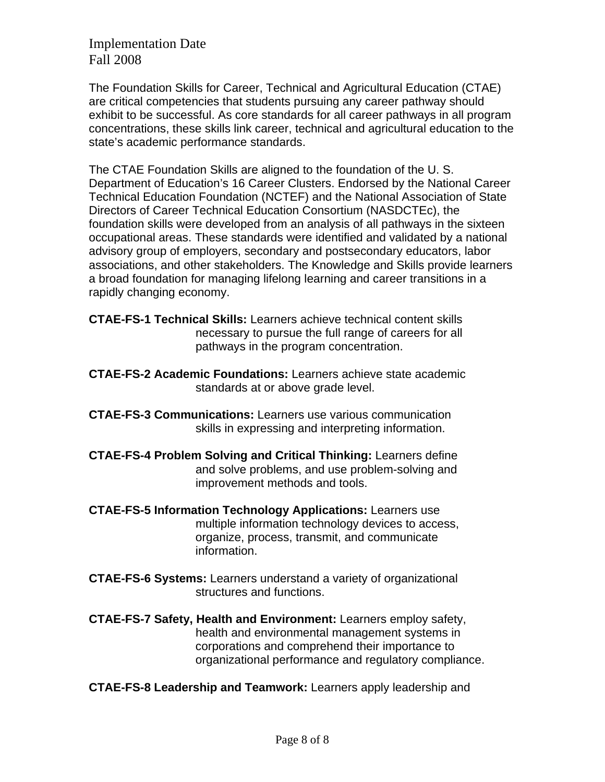The Foundation Skills for Career, Technical and Agricultural Education (CTAE) are critical competencies that students pursuing any career pathway should exhibit to be successful. As core standards for all career pathways in all program concentrations, these skills link career, technical and agricultural education to the state's academic performance standards.

The CTAE Foundation Skills are aligned to the foundation of the U. S. Department of Education's 16 Career Clusters. Endorsed by the National Career Technical Education Foundation (NCTEF) and the National Association of State Directors of Career Technical Education Consortium (NASDCTEc), the foundation skills were developed from an analysis of all pathways in the sixteen occupational areas. These standards were identified and validated by a national advisory group of employers, secondary and postsecondary educators, labor associations, and other stakeholders. The Knowledge and Skills provide learners a broad foundation for managing lifelong learning and career transitions in a rapidly changing economy.

**CTAE-FS-1 Technical Skills:** Learners achieve technical content skills necessary to pursue the full range of careers for all pathways in the program concentration.

- **CTAE-FS-2 Academic Foundations:** Learners achieve state academic standards at or above grade level.
- **CTAE-FS-3 Communications:** Learners use various communication skills in expressing and interpreting information.
- **CTAE-FS-4 Problem Solving and Critical Thinking:** Learners define and solve problems, and use problem-solving and improvement methods and tools.
- **CTAE-FS-5 Information Technology Applications:** Learners use multiple information technology devices to access, organize, process, transmit, and communicate information.
- **CTAE-FS-6 Systems:** Learners understand a variety of organizational structures and functions.
- **CTAE-FS-7 Safety, Health and Environment:** Learners employ safety, health and environmental management systems in corporations and comprehend their importance to organizational performance and regulatory compliance.
- **CTAE-FS-8 Leadership and Teamwork:** Learners apply leadership and